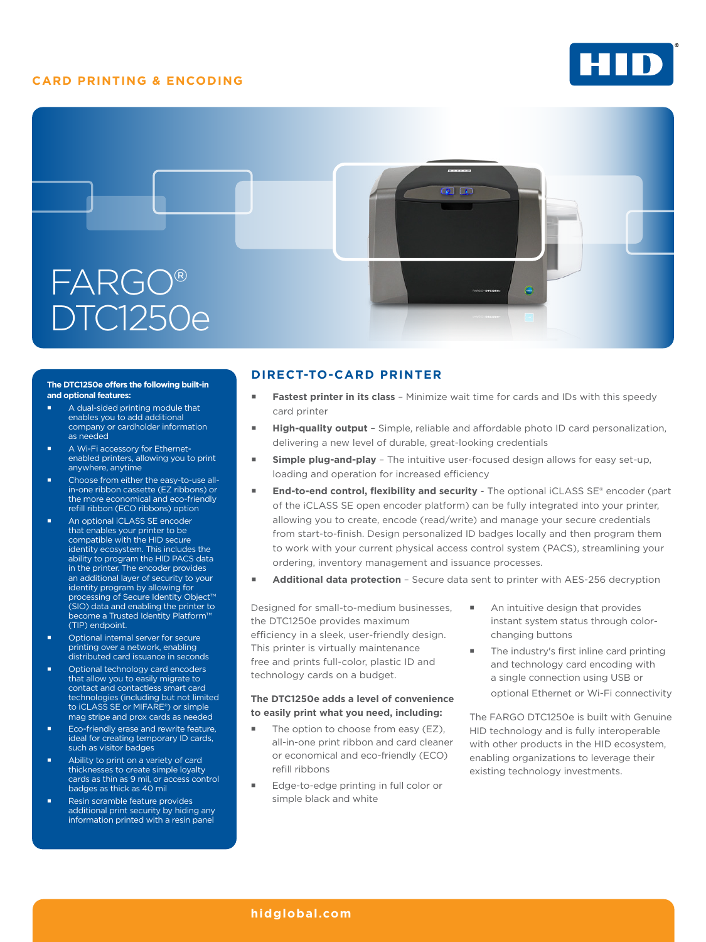## **CARD PRINTING & ENCODING**





#### **The DTC1250e offers the following built-in and optional features:**

- A dual-sided printing module that enables you to add additional company or cardholder information as needed
- **A Wi-Fi accessory for Ethernet**enabled printers, allowing you to print anywhere, anytime
- **Choose from either the easy-to-use all**in-one ribbon cassette (EZ ribbons) or the more economical and eco-friendly refill ribbon (ECO ribbons) option
- An optional iCLASS SE encoder that enables your printer to be compatible with the HID secure identity ecosystem. This includes the ability to program the HID PACS data in the printer. The encoder provides an additional layer of security to your identity program by allowing for processing of Secure Identity Object™ (SIO) data and enabling the printer to become a Trusted Identity Platform™ (TIP) endpoint.
- Optional internal server for secure printing over a network, enabling distributed card issuance in seconds
- Optional technology card encoders that allow you to easily migrate to contact and contactless smart card technologies (including but not limited to iCLASS SE or MIFARE®) or simple mag stripe and prox cards as needed
- **Eco-friendly erase and rewrite feature,** ideal for creating temporary ID cards, such as visitor badges
- Ability to print on a variety of card thicknesses to create simple loyalty cards as thin as 9 mil, or access control badges as thick as 40 mil
- Resin scramble feature provides additional print security by hiding any information printed with a resin panel

# **DIRECT-TO-CARD PRINTER**

- **Fastest printer in its class** Minimize wait time for cards and IDs with this speedy card printer
- **High-quality output** Simple, reliable and affordable photo ID card personalization, delivering a new level of durable, great-looking credentials
- **Simple plug-and-play** The intuitive user-focused design allows for easy set-up, loading and operation for increased efficiency
- End-to-end control, flexibility and security The optional iCLASS SE® encoder (part of the iCLASS SE open encoder platform) can be fully integrated into your printer, allowing you to create, encode (read/write) and manage your secure credentials from start-to-finish. Design personalized ID badges locally and then program them to work with your current physical access control system (PACS), streamlining your ordering, inventory management and issuance processes.
- **Additional data protection** Secure data sent to printer with AES-256 decryption

Designed for small-to-medium businesses, the DTC1250e provides maximum efficiency in a sleek, user-friendly design. This printer is virtually maintenance free and prints full-color, plastic ID and technology cards on a budget.

### **The DTC1250e adds a level of convenience to easily print what you need, including:**

- The option to choose from easy (EZ), all-in-one print ribbon and card cleaner or economical and eco-friendly (ECO) refill ribbons
- Edge-to-edge printing in full color or simple black and white
- An intuitive design that provides instant system status through colorchanging buttons
- The industry's first inline card printing and technology card encoding with a single connection using USB or optional Ethernet or Wi-Fi connectivity

The FARGO DTC1250e is built with Genuine HID technology and is fully interoperable with other products in the HID ecosystem, enabling organizations to leverage their existing technology investments.

### **[hidglobal.com](http://www.hidglobal.com)**